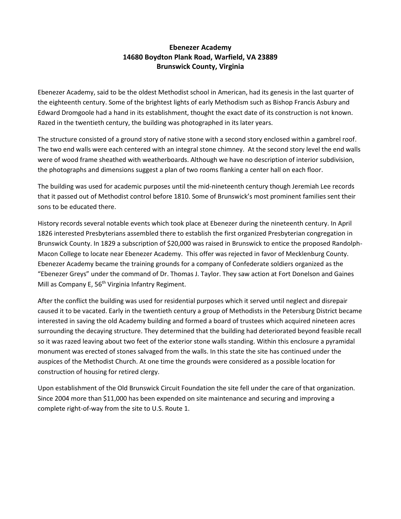## **Ebenezer Academy 14680 Boydton Plank Road, Warfield, VA 23889 Brunswick County, Virginia**

Ebenezer Academy, said to be the oldest Methodist school in American, had its genesis in the last quarter of the eighteenth century. Some of the brightest lights of early Methodism such as Bishop Francis Asbury and Edward Dromgoole had a hand in its establishment, thought the exact date of its construction is not known. Razed in the twentieth century, the building was photographed in its later years.

The structure consisted of a ground story of native stone with a second story enclosed within a gambrel roof. The two end walls were each centered with an integral stone chimney. At the second story level the end walls were of wood frame sheathed with weatherboards. Although we have no description of interior subdivision, the photographs and dimensions suggest a plan of two rooms flanking a center hall on each floor.

The building was used for academic purposes until the mid-nineteenth century though Jeremiah Lee records that it passed out of Methodist control before 1810. Some of Brunswick's most prominent families sent their sons to be educated there.

History records several notable events which took place at Ebenezer during the nineteenth century. In April 1826 interested Presbyterians assembled there to establish the first organized Presbyterian congregation in Brunswick County. In 1829 a subscription of \$20,000 was raised in Brunswick to entice the proposed Randolph-Macon College to locate near Ebenezer Academy. This offer was rejected in favor of Mecklenburg County. Ebenezer Academy became the training grounds for a company of Confederate soldiers organized as the "Ebenezer Greys" under the command of Dr. Thomas J. Taylor. They saw action at Fort Donelson and Gaines Mill as Company E,  $56<sup>th</sup>$  Virginia Infantry Regiment.

After the conflict the building was used for residential purposes which it served until neglect and disrepair caused it to be vacated. Early in the twentieth century a group of Methodists in the Petersburg District became interested in saving the old Academy building and formed a board of trustees which acquired nineteen acres surrounding the decaying structure. They determined that the building had deteriorated beyond feasible recall so it was razed leaving about two feet of the exterior stone walls standing. Within this enclosure a pyramidal monument was erected of stones salvaged from the walls. In this state the site has continued under the auspices of the Methodist Church. At one time the grounds were considered as a possible location for construction of housing for retired clergy.

Upon establishment of the Old Brunswick Circuit Foundation the site fell under the care of that organization. Since 2004 more than \$11,000 has been expended on site maintenance and securing and improving a complete right-of-way from the site to U.S. Route 1.